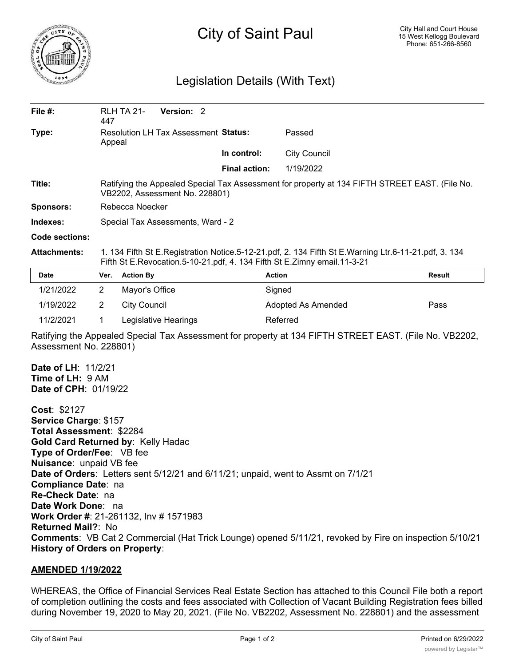

## City of Saint Paul

## Legislation Details (With Text)

| File $#$ :                                                                                                                                              | 447                                                   | Version: 2<br><b>RLH TA 21-</b>                                                                                                                                                  |                      |                                                                                                        |               |  |
|---------------------------------------------------------------------------------------------------------------------------------------------------------|-------------------------------------------------------|----------------------------------------------------------------------------------------------------------------------------------------------------------------------------------|----------------------|--------------------------------------------------------------------------------------------------------|---------------|--|
| Type:                                                                                                                                                   | <b>Resolution LH Tax Assessment Status:</b><br>Appeal |                                                                                                                                                                                  |                      | Passed                                                                                                 |               |  |
|                                                                                                                                                         |                                                       |                                                                                                                                                                                  | In control:          | <b>City Council</b>                                                                                    |               |  |
|                                                                                                                                                         |                                                       |                                                                                                                                                                                  | <b>Final action:</b> | 1/19/2022                                                                                              |               |  |
| Title:                                                                                                                                                  |                                                       | Ratifying the Appealed Special Tax Assessment for property at 134 FIFTH STREET EAST. (File No.<br>VB2202, Assessment No. 228801)                                                 |                      |                                                                                                        |               |  |
| <b>Sponsors:</b>                                                                                                                                        | Rebecca Noecker                                       |                                                                                                                                                                                  |                      |                                                                                                        |               |  |
| Indexes:                                                                                                                                                |                                                       | Special Tax Assessments, Ward - 2                                                                                                                                                |                      |                                                                                                        |               |  |
| Code sections:                                                                                                                                          |                                                       |                                                                                                                                                                                  |                      |                                                                                                        |               |  |
| <b>Attachments:</b>                                                                                                                                     |                                                       | 1. 134 Fifth St E.Registration Notice.5-12-21.pdf, 2. 134 Fifth St E.Warning Ltr.6-11-21.pdf, 3. 134<br>Fifth St E.Revocation.5-10-21.pdf, 4. 134 Fifth St E.Zimny email.11-3-21 |                      |                                                                                                        |               |  |
| <b>Date</b>                                                                                                                                             | Ver.                                                  | <b>Action By</b>                                                                                                                                                                 |                      | <b>Action</b>                                                                                          | <b>Result</b> |  |
| 1/21/2022                                                                                                                                               | $\overline{2}$                                        | Mayor's Office                                                                                                                                                                   |                      | Signed                                                                                                 |               |  |
| 1/19/2022                                                                                                                                               | $\overline{2}$                                        | <b>City Council</b>                                                                                                                                                              |                      | Adopted As Amended                                                                                     | Pass          |  |
| 11/2/2021                                                                                                                                               | 1                                                     | Legislative Hearings                                                                                                                                                             |                      | Referred                                                                                               |               |  |
| Assessment No. 228801)                                                                                                                                  |                                                       |                                                                                                                                                                                  |                      | Ratifying the Appealed Special Tax Assessment for property at 134 FIFTH STREET EAST. (File No. VB2202, |               |  |
| Date of LH: 11/2/21<br>Time of LH: 9 AM<br>Date of CPH: 01/19/22                                                                                        |                                                       |                                                                                                                                                                                  |                      |                                                                                                        |               |  |
| Cost: \$2127<br>Service Charge: \$157<br>Total Assessment: \$2284<br>Type of Order/Fee: VB fee<br><b>Nuisance: unpaid VB fee</b><br>Compliance Date: na |                                                       | Gold Card Returned by: Kelly Hadac                                                                                                                                               |                      | <b>Date of Orders:</b> Letters sent 5/12/21 and 6/11/21; unpaid, went to Assmt on 7/1/21               |               |  |

**Re-Check Date**: na **Date Work Done**: na

**Work Order #**: 21-261132, Inv # 1571983

**Returned Mail?**: No **Comments**: VB Cat 2 Commercial (Hat Trick Lounge) opened 5/11/21, revoked by Fire on inspection 5/10/21 **History of Orders on Property**:

## **AMENDED 1/19/2022**

WHEREAS, the Office of Financial Services Real Estate Section has attached to this Council File both a report of completion outlining the costs and fees associated with Collection of Vacant Building Registration fees billed during November 19, 2020 to May 20, 2021. (File No. VB2202, Assessment No. 228801) and the assessment